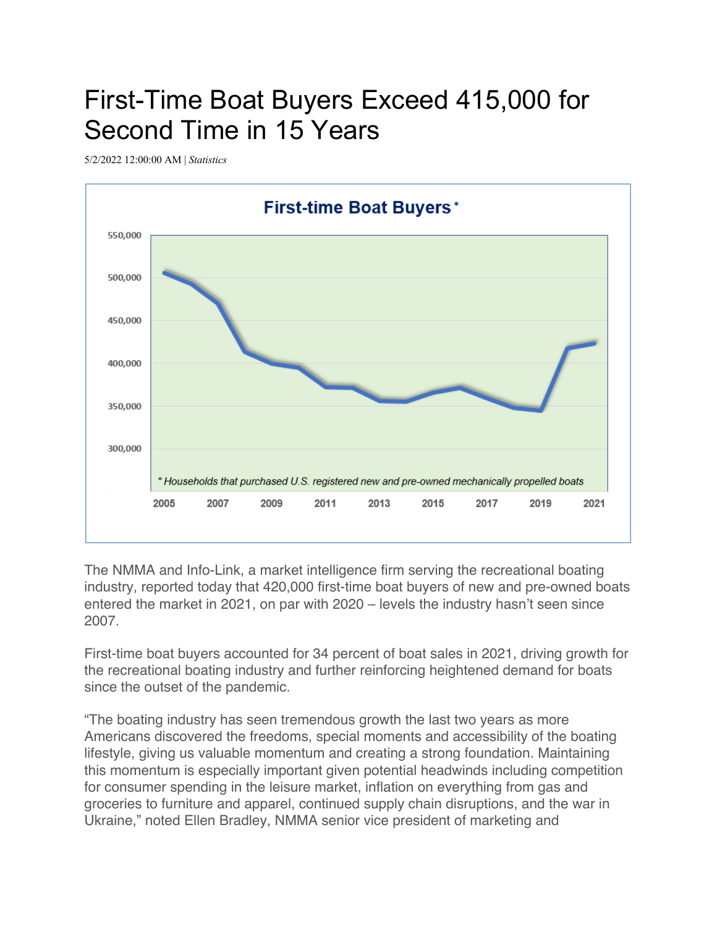## First-Time Boat Buyers Exceed 415,000 for Second Time in 15 Years

5/2/2022 12:00:00 AM | *Statistics*



The NMMA and Info-Link, a market intelligence firm serving the recreational boating industry, reported today that 420,000 first-time boat buyers of new and pre-owned boats entered the market in 2021, on par with 2020 – levels the industry hasn't seen since 2007.

First-time boat buyers accounted for 34 percent of boat sales in 2021, driving growth for the recreational boating industry and further reinforcing heightened demand for boats since the outset of the pandemic.

"The boating industry has seen tremendous growth the last two years as more Americans discovered the freedoms, special moments and accessibility of the boating lifestyle, giving us valuable momentum and creating a strong foundation. Maintaining this momentum is especially important given potential headwinds including competition for consumer spending in the leisure market, inflation on everything from gas and groceries to furniture and apparel, continued supply chain disruptions, and the war in Ukraine," noted Ellen Bradley, NMMA senior vice president of marketing and